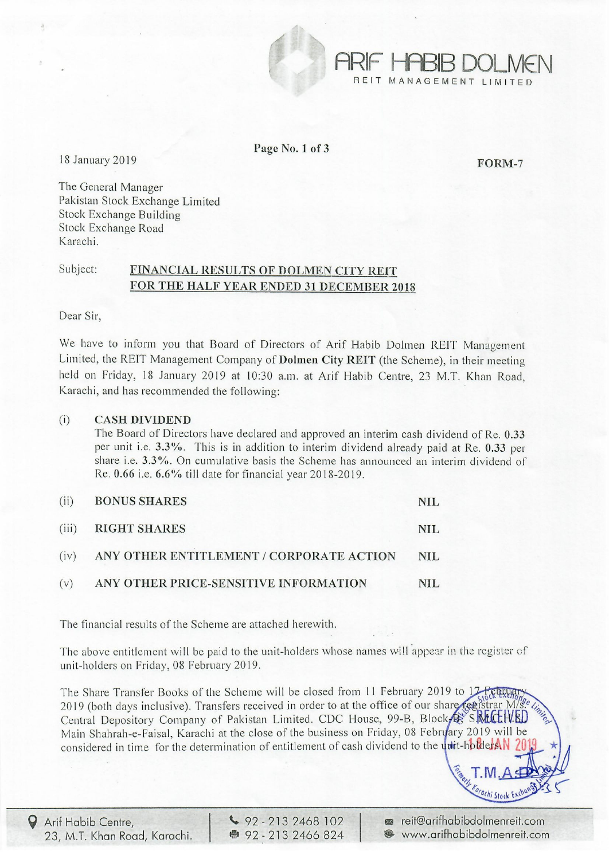

ARIF HABIB DOLMEN MANAGEMENT LIMITED

Page No.1 of 3

18 January 2019 **FORM-7** 

The General Manager Pakistan Stock Exchange Limited Stock Exchange Building Stock Exchange Road Karachi.

## Subject: FINANCIAL RESULTS OF DOLMEN CITY REIT FOR THE HALF YEAR ENDED 31 DECEMBER 2018

Dear Sir,

We have to inform you that Board of Directors of Arif Habib Dolmen REIT Management Limited, the REIT Management Company of Dolmen City REIT (the Scheme), in their meeting held on Friday, 18 January 2019 at 10:30 a.m. at Arif Habib Centre, 23 M.T. Khan Road, Karachi, and has recommended the following:

## (i) CASH DIVIDEND

The Board of Directors have declared and approved an interim cash dividend of Re. 0.33 per unit i.e. 3.3%. This is in addition to interim dividend already paid at Re. 0.33 per share i.e.  $3.3\%$ . On cumulative basis the Scheme has announced an interim dividend of Re. 0.66 i.e. 6.6% till date for financial year 2018-2019.

| (ii) | <b>BONUS SHARES</b>                           | NIL  |
|------|-----------------------------------------------|------|
|      | (iii) RIGHT SHARES                            | NIL. |
|      | (iv) ANY OTHER ENTITLEMENT / CORPORATE ACTION | NIL  |
| (v)  | ANY OTHER PRICE-SENSITIVE INFORMATION         | NIL. |

The financial results of the Scheme are attached herewith.

The above entitlement will be paid to the unit-holders whose names will appear in the register of unit-holders on Friday, 08 February 2019.

The Share Transfer Books of the Scheme will be closed from 11 February 2019 to 17 Februar 2019 (both days inclusive). Transfers received in order to at the office of our share registrar M/s. Central Depository Company of Pakistan Limited. CDC House, 99-B, Block SREELVED Main Shahrah-e-Faisal, Karachi at the close of the business on Friday, 08 February 2019 will be considered in time for the determination of entitlement of cash dividend to the unit-holders

 $\bigcirc$  92 - 213 2468 102 ● 92 - 213 2466 824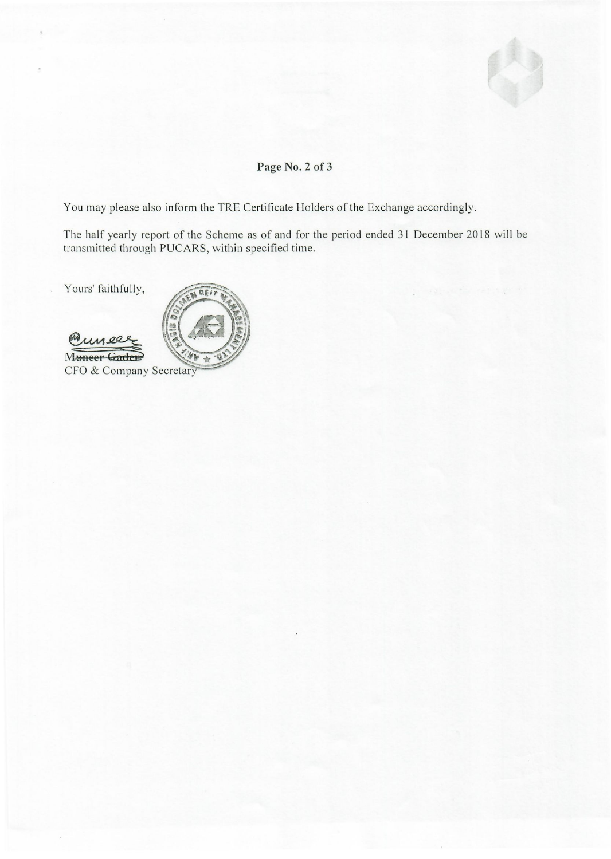

## **Page** No.2 **of 3**

You may please also inform the TRE Certificate Holders of the Exchange accordingly.

The half yearly report of the Scheme as of and for the period ended 31 December 2018 will be transmitted through PUCARS, within specified time.

Yours' faithfully,

Munee CFO & Company Secretary